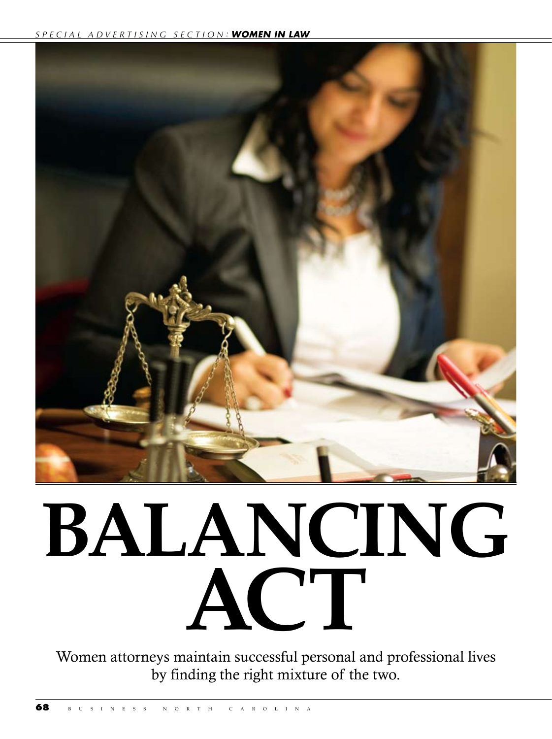

## **Balancing Act**

Women attorneys maintain successful personal and professional lives by finding the right mixture of the two.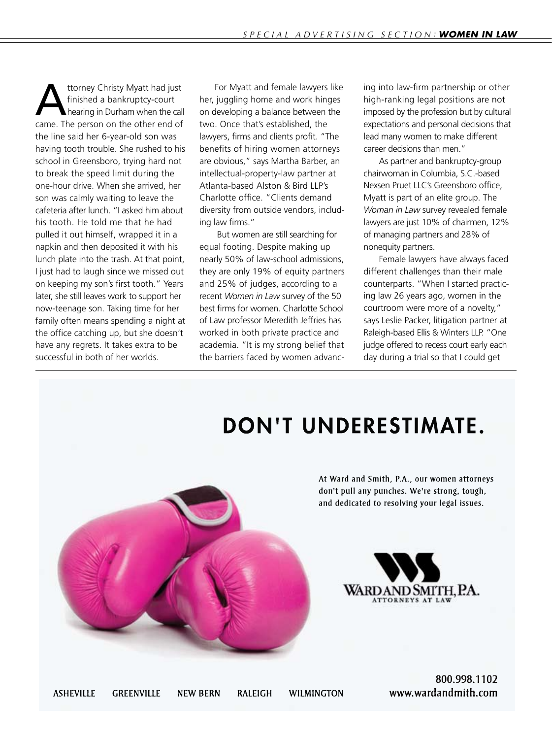ttorney Christy Myatt had just<br>finished a bankruptcy-court<br>hearing in Durham when the call finished a bankruptcy-court hearing in Durham when the call came. The person on the other end of the line said her 6-year-old son was having tooth trouble. She rushed to his school in Greensboro, trying hard not to break the speed limit during the one-hour drive. When she arrived, her son was calmly waiting to leave the cafeteria after lunch. "I asked him about his tooth. He told me that he had pulled it out himself, wrapped it in a napkin and then deposited it with his lunch plate into the trash. At that point, I just had to laugh since we missed out on keeping my son's first tooth." Years later, she still leaves work to support her now-teenage son. Taking time for her family often means spending a night at the office catching up, but she doesn't have any regrets. It takes extra to be successful in both of her worlds.

For Myatt and female lawyers like her, juggling home and work hinges on developing a balance between the two. Once that's established, the lawyers, firms and clients profit. "The benefits of hiring women attorneys are obvious," says Martha Barber, an intellectual-property-law partner at Atlanta-based Alston & Bird LLP's Charlotte office. "Clients demand diversity from outside vendors, including law firms."

 But women are still searching for equal footing. Despite making up nearly 50% of law-school admissions, they are only 19% of equity partners and 25% of judges, according to a recent *Women in Law* survey of the 50 best firms for women. Charlotte School of Law professor Meredith Jeffries has worked in both private practice and academia. "It is my strong belief that the barriers faced by women advancing into law-firm partnership or other high-ranking legal positions are not imposed by the profession but by cultural expectations and personal decisions that lead many women to make different career decisions than men."

As partner and bankruptcy-group chairwoman in Columbia, S.C.-based Nexsen Pruet LLC's Greensboro office, Myatt is part of an elite group. The *Woman in Law* survey revealed female lawyers are just 10% of chairmen, 12% of managing partners and 28% of nonequity partners.

Female lawyers have always faced different challenges than their male counterparts. "When I started practicing law 26 years ago, women in the courtroom were more of a novelty," says Leslie Packer, litigation partner at Raleigh-based Ellis & Winters LLP. "One judge offered to recess court early each day during a trial so that I could get



800.998.1102 www.wardandmith.com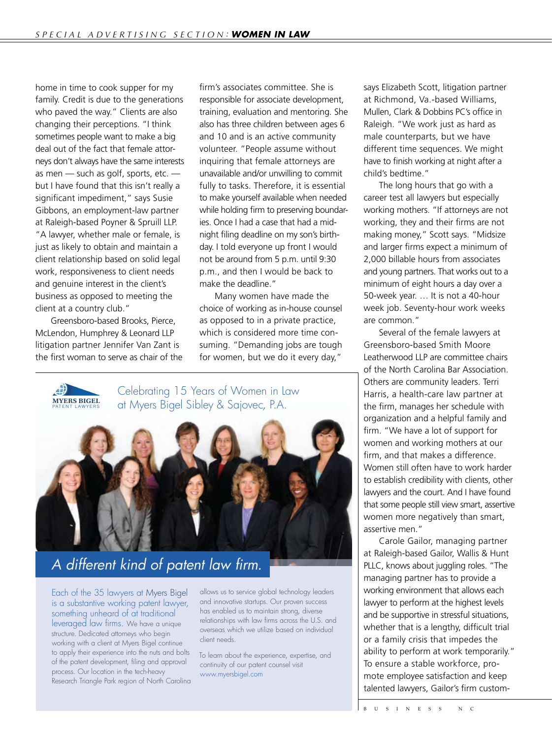home in time to cook supper for my family. Credit is due to the generations who paved the way." Clients are also changing their perceptions. "I think sometimes people want to make a big deal out of the fact that female attorneys don't always have the same interests as men — such as golf, sports, etc. but I have found that this isn't really a significant impediment," says Susie Gibbons, an employment-law partner at Raleigh-based Poyner & Spruill LLP. "A lawyer, whether male or female, is just as likely to obtain and maintain a client relationship based on solid legal work, responsiveness to client needs and genuine interest in the client's business as opposed to meeting the client at a country club."

litigation partner Jennifer Van Zant is the first woman to serve as chair of the Greensboro-based Brooks, Pierce, McLendon, Humphrey & Leonard LLP

firm's associates committee. She is responsible for associate development, training, evaluation and mentoring. She also has three children between ages 6 and 10 and is an active community volunteer. "People assume without inquiring that female attorneys are unavailable and/or unwilling to commit fully to tasks. Therefore, it is essential to make yourself available when needed while holding firm to preserving boundaries. Once I had a case that had a midnight filing deadline on my son's birthday. I told everyone up front I would not be around from 5 p.m. until 9:30 p.m., and then I would be back to make the deadline."

Many women have made the choice of working as in-house counsel as opposed to in a private practice, which is considered more time consuming. "Demanding jobs are tough for women, but we do it every day,"

**MYERS BIGEL** PATENT LAWYERS at Myers Bigel Sibley & Sajovec, P.A.

is a substantive working patent lawyer,

Celebrating 15 Years of Women in Law at Myers Bigel Sibley & Sajovec, P.A.



## A different kind of patent law firm. and innovative startups. Our proven success

Each of the 35 lawyers at Myers Bigel allows us to Lever of the OD lawyers at types biget allowed a based on individual in the outer series of the US lawyers and innovative something unheard of at traditional leveraged law firms. We have a unique structure. Dedicated attorneys who begin working with a client at Myers Bigel continue client to apply their experience into the nuts and bolts of the patent development, filing and approval process. Our location in the tech-heavy Research Triangle Park region of North Carolina working wheard of at translated continue to a client at Myers Bigger at Ayers Bigger at Ayers Bigger and the continue of the continue of the continue of the continue of the continue of the continue of the continue of the c awyers at Myers Bigel allows us to serve

allows us to service global technology leaders and innovative startups. Our proven success has enabled us to maintain strong, diverse relationships with law firms across the U.S. and I attorneys who boojn strategy overseas, which we utilize based on individual client needs.

> To learn about the experience, expertise, and continuity of our patent counsel visit www.myersbigel.com

says Elizabeth Scott, litigation partner at Richmond, Va.-based Williams, Mullen, Clark & Dobbins PC's office in Raleigh. "We work just as hard as male counterparts, but we have different time sequences. We might have to finish working at night after a child's bedtime."

The long hours that go with a career test all lawyers but especially working mothers. "If attorneys are not working, they and their firms are not making money," Scott says. "Midsize and larger firms expect a minimum of 2,000 billable hours from associates and young partners. That works out to a minimum of eight hours a day over a 50-week year. … It is not a 40-hour week job. Seventy-hour work weeks are common."

Several of the female lawyers at Greensboro-based Smith Moore Leatherwood LLP are committee chairs of the North Carolina Bar Association. Others are community leaders. Terri Harris, a health-care law partner at the firm, manages her schedule with organization and a helpful family and firm. "We have a lot of support for women and working mothers at our firm, and that makes a difference. Women still often have to work harder to establish credibility with clients, other lawyers and the court. And I have found that some people still view smart, assertive women more negatively than smart, assertive men."

Carole Gailor, managing partner at Raleigh-based Gailor, Wallis & Hunt PLLC, knows about juggling roles. "The managing partner has to provide a working environment that allows each lawyer to perform at the highest levels and be supportive in stressful situations, whether that is a lengthy, difficult trial or a family crisis that impedes the ability to perform at work temporarily." To ensure a stable workforce, promote employee satisfaction and keep talented lawyers, Gailor's firm custom